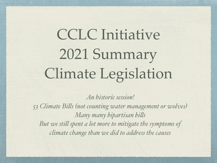# CCLC Initiative 2021 Summary Climate Legislation

*An historic session! 53 Climate Bils (not counting water management or wolves) Many many bipartisan bils But we stil spent a lot more to mitigate the symptoms of climate change than we did to address the causes*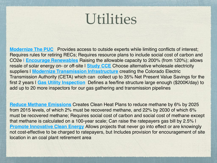### Utilities

**[Modernize The PUC](http://leg.colorado.gov/bills/sb21-272)** Provides access to outside experts while limiting conflicts of interest; Requires rules for retiring RECs; Requires resource plans to include social cost of carbon and CO2e **| [Encourage Renewables](http://leg.colorado.gov/bills/SB21-261)** Raising the allowable capacity to 200% (from 120%); allows resale of solar energy on- or off-site I **[Study CCE](https://leg.colorado.gov/bills/hb21-1269)** Choose alternative wholesale electricity suppliers | **[Modernize Transmission Infrastructure](https://leg.colorado.gov/bills/sb21-072)** creating the Colorado Electric Transmission Authority (CETA) which can collect up to 35% Net Present Value Savings for the first 2 years | **[Gas Utility Inspection](https://leg.colorado.gov/bills/sb21-108)** Defines a fee/fine structure large enough (\$200K/day) to add up to 20 more inspectors for our gas gathering and transmission pipelines

**[Reduce Methane Emissions](http://leg.colorado.gov/bills/SB21-264)** Creates Clean Heat Plans to reduce methane by 6% by 2025 from 2015 levels, of which 2% must be recovered methane, and 22% by 2030 of which 6% must be recovered methane; Requires social cost of carbon and social cost of methane except that methane is calculated on a 100-year scale; Can raise the ratepayers gas bill by 2.5% | **[Promote Innovative Clean Energy](http://leg.colorado.gov/bills/HB21-1324) Allows projects that never go into effect or are knowingly** not cost-effective to be charged to ratepayers, but Includes provision for encouragement of site location in an coal plant retirement area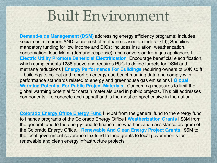#### Built Environment

**[Demand-side Management \(DSM\)](http://leg.colorado.gov/bills/HB21-1238)** addressing energy efficiency programs; Includes social cost of carbon AND social cost of methane (based on federal std); Specifies mandatory funding for low income and DICs; Includes insulation, weatherization, conservation, load Mgmt (demand response), and conversion from gas appliances | **[Electric Utility Promote Beneficial Electrification](http://leg.colorado.gov/bills/SB21-246)** Encourage beneficial electrification, which complements 1238 above and requires PUC to define targets for DSM and methane reductions | **[Energy Performance For Buildings](http://leg.colorado.gov/bills/HB21-1286)** requiring owners of 20K sq ft + buildings to collect and report on energy-use benchmarking data and comply with performance standards related to energy and greenhouse gas emissions | **[Global](http://leg.colorado.gov/bills/HB21-1303)  [Warming Potential For Public Project Materials](http://leg.colorado.gov/bills/HB21-1303)** | Concerning measures to limit the global warming potential for certain materials used in public projects. This bill addresses components like concrete and asphalt and is the most comprehensive in the nation

**[Colorado Energy Office Energy Fund](https://leg.colorado.gov/bills/sb21-230)** I \$40M from the general fund to the energy fund to finance programs of the Colorado Energy Office | **[Weatherization Grants](http://leg.colorado.gov/bills/SB21-231)** | \$3M from the general fund to the energy fund to finance the weatherization assistance program of the Colorado Energy Office. | **[Renewable And Clean Energy Project Grants](http://leg.colorado.gov/bills/HB21-1253)** | \$5M to the local government severance tax fund to fund grants to local governments for renewable and clean energy infrastructure projects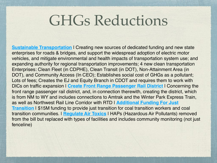### GHGs Reductions

**[Sustainable Transportation](https://leg.colorado.gov/bills/sb21-260)** I Creating new sources of dedicated funding and new state enterprises for roads & bridges, and support the widespread adoption of electric motor vehicles, and mitigate environmental and health impacts of transportation system use; and expanding authority for regional transportation improvements; 4 new clean transportation Enterprises: Clean Fleet (in CDPHE), Clean Transit (in DOT), Non-Attainment Area (in DOT), and Community Access (In CEO); Establishes social cost of GHGs as a pollutant; Lots of fees; Creates the EJ and Equity Branch in CDOT and requires them to work with DICs on traffic expansion | **[Create Front Range Passenger Rail District](http://leg.colorado.gov/bills/SB21-238)** | Concerning the front range passenger rail district, and, in connection therewith, creating the district, which is from NM to WY and includes connections to Amtrak and the Winter Park Express Train, as well as Northwest Rail Line Corridor with RTD | **[Additional Funding For Just](http://leg.colorado.gov/bills/HB21-1290)  [Transition](http://leg.colorado.gov/bills/HB21-1290)** I \$15M funding to provide just transition for coal transition workers and coal transition communities. | **[Regulate Air Toxics](http://leg.colorado.gov/bills/HB21-1189)** | HAPs (Hazardous Air Pollutants) removed from the bill but replaced with types of facilities and includes community monitoring (not just fenceline)